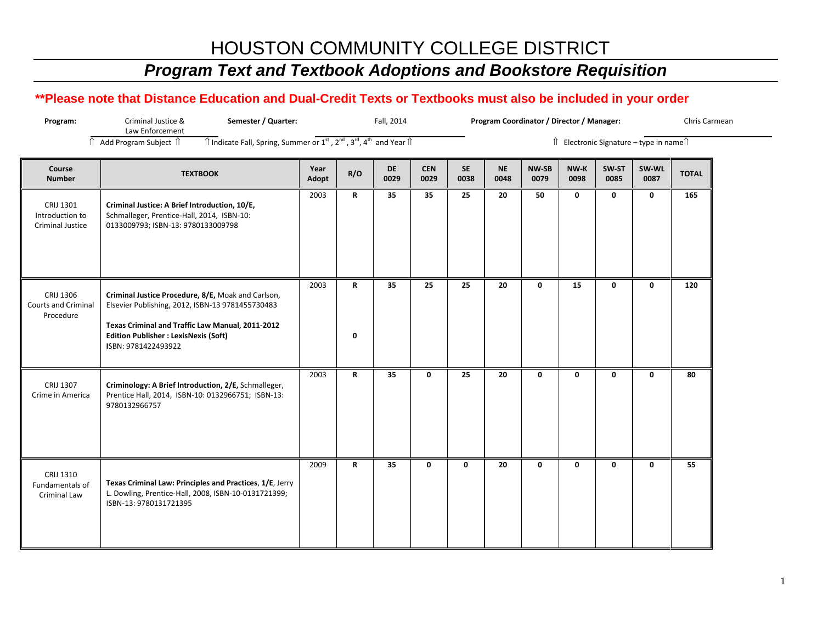## *Program Text and Textbook Adoptions and Bookstore Requisition*

| Program:                                                | Criminal Justice &<br>Semester / Quarter:<br>Law Enforcement                                                                                                                                                                      |                                                                                                                         | Fall, 2014 |                   |                    |                   | Program Coordinator / Director / Manager: |               |              |                                         |               |              |  |  |  |  |  |  |
|---------------------------------------------------------|-----------------------------------------------------------------------------------------------------------------------------------------------------------------------------------------------------------------------------------|-------------------------------------------------------------------------------------------------------------------------|------------|-------------------|--------------------|-------------------|-------------------------------------------|---------------|--------------|-----------------------------------------|---------------|--------------|--|--|--|--|--|--|
|                                                         | Î Add Program Subject Î                                                                                                                                                                                                           | $\hat{\parallel}$ Indicate Fall, Spring, Summer or $1^{st}$ , $2^{nd}$ , $3^{rd}$ , $4^{th}$ and Year $\hat{\parallel}$ |            |                   |                    |                   |                                           |               |              | Î Electronic Signature - type in nameÎl |               |              |  |  |  |  |  |  |
| Course<br><b>Number</b>                                 | <b>TEXTBOOK</b>                                                                                                                                                                                                                   | Year<br>Adopt                                                                                                           | R/O        | <b>DE</b><br>0029 | <b>CEN</b><br>0029 | <b>SE</b><br>0038 | <b>NE</b><br>0048                         | NW-SB<br>0079 | NW-K<br>0098 | SW-ST<br>0085                           | SW-WL<br>0087 | <b>TOTAL</b> |  |  |  |  |  |  |
| CRIJ 1301<br>Introduction to<br><b>Criminal Justice</b> | Criminal Justice: A Brief Introduction, 10/E,<br>Schmalleger, Prentice-Hall, 2014, ISBN-10:<br>0133009793; ISBN-13: 9780133009798                                                                                                 | 2003                                                                                                                    | R          | 35                | 35                 | 25                | 20                                        | 50            | 0            | 0                                       | 0             | 165          |  |  |  |  |  |  |
| CRIJ 1306<br><b>Courts and Criminal</b><br>Procedure    | Criminal Justice Procedure, 8/E, Moak and Carlson,<br>Elsevier Publishing, 2012, ISBN-13 9781455730483<br>Texas Criminal and Traffic Law Manual, 2011-2012<br><b>Edition Publisher : LexisNexis (Soft)</b><br>ISBN: 9781422493922 | 2003                                                                                                                    | R<br>0     | 35                | 25                 | 25                | 20                                        | $\mathbf 0$   | 15           | 0                                       | 0             | 120          |  |  |  |  |  |  |
| CRIJ 1307<br>Crime in America                           | Criminology: A Brief Introduction, 2/E, Schmalleger,<br>Prentice Hall, 2014, ISBN-10: 0132966751; ISBN-13:<br>9780132966757                                                                                                       | 2003                                                                                                                    | R          | 35                | 0                  | 25                | 20                                        | $\mathbf 0$   | 0            | 0                                       | $\mathbf 0$   | 80           |  |  |  |  |  |  |
| CRIJ 1310<br>Fundamentals of<br>Criminal Law            | Texas Criminal Law: Principles and Practices, 1/E, Jerry<br>L. Dowling, Prentice-Hall, 2008, ISBN-10-0131721399;<br>ISBN-13: 9780131721395                                                                                        | 2009                                                                                                                    | R          | 35                | 0                  | $\mathbf 0$       | 20                                        | $\mathbf 0$   | 0            | 0                                       | 0             | 55           |  |  |  |  |  |  |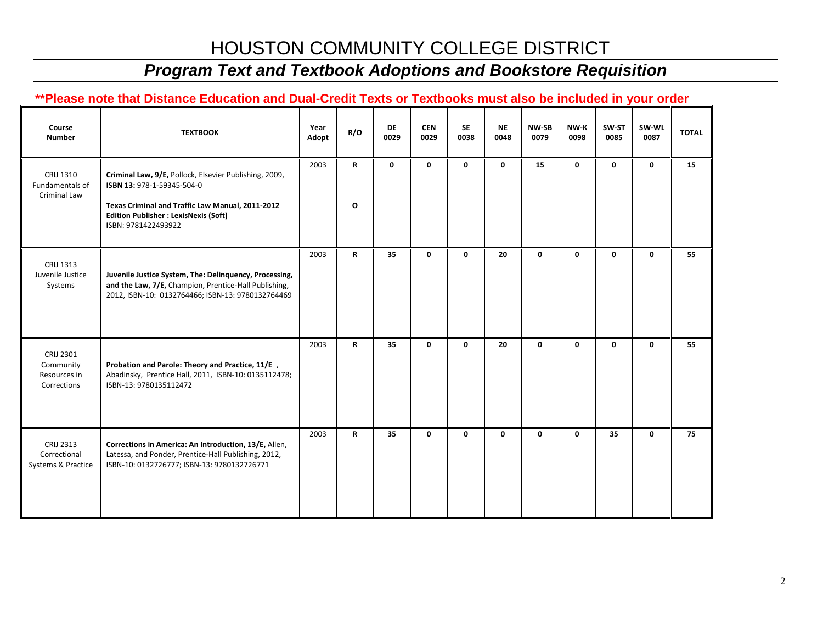## *Program Text and Textbook Adoptions and Bookstore Requisition*

| Course<br><b>Number</b>                                | <b>TEXTBOOK</b>                                                                                                                                                                                                 | Year<br>Adopt | R/O    | <b>DE</b><br>0029 | <b>CEN</b><br>0029 | <b>SE</b><br>0038 | <b>NE</b><br>0048 | <b>NW-SB</b><br>0079 | NW K<br>0098 | SW-ST<br>0085 | SW-WL<br>0087 | <b>TOTAL</b> |
|--------------------------------------------------------|-----------------------------------------------------------------------------------------------------------------------------------------------------------------------------------------------------------------|---------------|--------|-------------------|--------------------|-------------------|-------------------|----------------------|--------------|---------------|---------------|--------------|
| CRIJ 1310<br>Fundamentals of<br>Criminal Law           | Criminal Law, 9/E, Pollock, Elsevier Publishing, 2009,<br>ISBN 13: 978-1-59345-504-0<br>Texas Criminal and Traffic Law Manual, 2011-2012<br><b>Edition Publisher : LexisNexis (Soft)</b><br>ISBN: 9781422493922 | 2003          | R<br>O | 0                 | 0                  | 0                 | 0                 | 15                   | 0            | 0             | 0             | 15           |
| CRIJ 1313<br>Juvenile Justice<br>Systems               | Juvenile Justice System, The: Delinquency, Processing,<br>and the Law, 7/E, Champion, Prentice-Hall Publishing,<br>2012, ISBN-10: 0132764466; ISBN-13: 9780132764469                                            | 2003          | R      | 35                | 0                  | 0                 | 20                | 0                    | 0            | 0             | $\mathbf 0$   | 55           |
| CRIJ 2301<br>Community<br>Resources in<br>Corrections  | Probation and Parole: Theory and Practice, 11/E,<br>Abadinsky, Prentice Hall, 2011, ISBN-10: 0135112478;<br>ISBN-13: 9780135112472                                                                              | 2003          | R      | 35                | 0                  | 0                 | 20                | 0                    | 0            | 0             | 0             | 55           |
| <b>CRIJ 2313</b><br>Correctional<br>Systems & Practice | Corrections in America: An Introduction, 13/E, Allen,<br>Latessa, and Ponder, Prentice-Hall Publishing, 2012,<br>ISBN-10: 0132726777; ISBN-13: 9780132726771                                                    | 2003          | R      | 35                | 0                  | 0                 | 0                 | 0                    | 0            | 35            | 0             | 75           |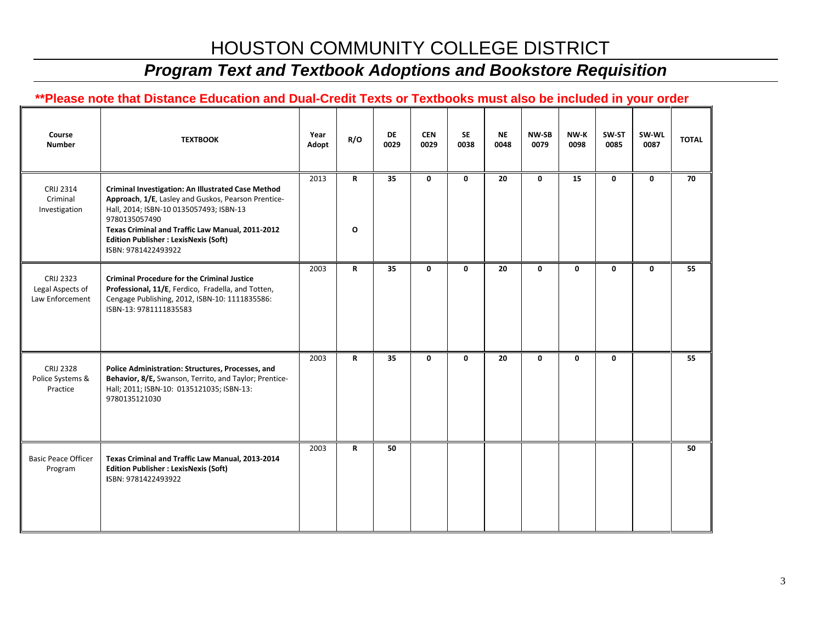## *Program Text and Textbook Adoptions and Bookstore Requisition*

| Course<br><b>Number</b>                                 | <b>TEXTBOOK</b>                                                                                                                                                                                                                                                                                         | Year<br>Adopt | R/O         | DE<br>0029 | <b>CEN</b><br>0029 | <b>SE</b><br>0038 | <b>NE</b><br>0048 | <b>NW-SB</b><br>0079 | NW-K<br>0098 | SW-ST<br>0085 | SW-WL<br>0087 | <b>TOTAL</b> |
|---------------------------------------------------------|---------------------------------------------------------------------------------------------------------------------------------------------------------------------------------------------------------------------------------------------------------------------------------------------------------|---------------|-------------|------------|--------------------|-------------------|-------------------|----------------------|--------------|---------------|---------------|--------------|
| <b>CRIJ 2314</b><br>Criminal<br>Investigation           | <b>Criminal Investigation: An Illustrated Case Method</b><br>Approach, 1/E, Lasley and Guskos, Pearson Prentice-<br>Hall, 2014; ISBN-10 0135057493; ISBN-13<br>9780135057490<br>Texas Criminal and Traffic Law Manual, 2011-2012<br><b>Edition Publisher : LexisNexis (Soft)</b><br>ISBN: 9781422493922 | 2013          | R<br>O      | 35         | 0                  | 0                 | 20                | 0                    | 15           | 0             | $\mathbf 0$   | 70           |
| <b>CRIJ 2323</b><br>Legal Aspects of<br>Law Enforcement | <b>Criminal Procedure for the Criminal Justice</b><br>Professional, 11/E, Ferdico, Fradella, and Totten,<br>Cengage Publishing, 2012, ISBN-10: 1111835586:<br>ISBN-13: 9781111835583                                                                                                                    | 2003          | R           | 35         | 0                  | 0                 | 20                | 0                    | 0            | 0             | $\mathbf 0$   | 55           |
| <b>CRIJ 2328</b><br>Police Systems &<br>Practice        | Police Administration: Structures, Processes, and<br>Behavior, 8/E, Swanson, Territo, and Taylor; Prentice-<br>Hall; 2011; ISBN-10: 0135121035; ISBN-13:<br>9780135121030                                                                                                                               | 2003          | R           | 35         | 0                  | 0                 | 20                | 0                    | 0            | 0             |               | 55           |
| <b>Basic Peace Officer</b><br>Program                   | Texas Criminal and Traffic Law Manual, 2013-2014<br><b>Edition Publisher : LexisNexis (Soft)</b><br>ISBN: 9781422493922                                                                                                                                                                                 | 2003          | $\mathbf R$ | 50         |                    |                   |                   |                      |              |               |               | 50           |